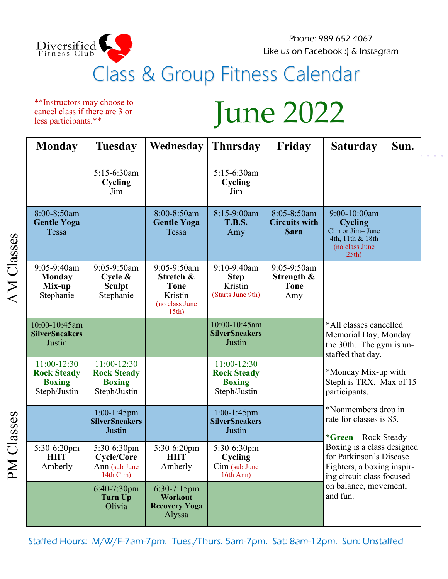

\*\*Instructors may choose to cancel class if there are 3 or less participants.\*\*

Phone: 989-652-4067 Like us on Facebook :) & Instagram

## June 2022

| <b>Monday</b>                                                      | <b>Tuesday</b>                                                     | Wednesday                                                                     | <b>Thursday</b>                                                    | Friday                                             | <b>Saturday</b>                                                                                                                                                                                                                             | Sun. |
|--------------------------------------------------------------------|--------------------------------------------------------------------|-------------------------------------------------------------------------------|--------------------------------------------------------------------|----------------------------------------------------|---------------------------------------------------------------------------------------------------------------------------------------------------------------------------------------------------------------------------------------------|------|
|                                                                    | 5:15-6:30am<br>Cycling<br>Jim                                      |                                                                               | 5:15-6:30am<br>Cycling<br>Jim                                      |                                                    |                                                                                                                                                                                                                                             |      |
| 8:00-8:50am<br><b>Gentle Yoga</b><br>Tessa                         |                                                                    | 8:00-8:50am<br><b>Gentle Yoga</b><br>Tessa                                    | 8:15-9:00am<br><b>T.B.S.</b><br>Amy                                | 8:05-8:50am<br><b>Circuits with</b><br><b>Sara</b> | 9:00-10:00am<br><b>Cycling</b><br>Cim or Jim-June<br>4th, 11th & 18th<br>(no class June<br>25th                                                                                                                                             |      |
| 9:05-9:40am<br><b>Monday</b><br>Mix-up<br>Stephanie                | 9:05-9:50am<br>Cycle $\&$<br><b>Sculpt</b><br>Stephanie            | 9:05-9:50am<br>Stretch &<br><b>Tone</b><br>Kristin<br>(no class June<br>15th) | $9:10-9:40$ am<br><b>Step</b><br>Kristin<br>(Starts June 9th)      | 9:05-9:50am<br>Strength &<br><b>Tone</b><br>Amy    |                                                                                                                                                                                                                                             |      |
| 10:00-10:45am<br><b>SilverSneakers</b><br>Justin                   |                                                                    |                                                                               | 10:00-10:45am<br><b>SilverSneakers</b><br>Justin                   |                                                    | *All classes cancelled<br>Memorial Day, Monday<br>the 30th. The gym is un-<br>staffed that day.<br>*Monday Mix-up with<br>Steph is TRX. Max of 15<br>participants.<br>*Nonmembers drop in<br>rate for classes is \$5.<br>*Green-Rock Steady |      |
| 11:00-12:30<br><b>Rock Steady</b><br><b>Boxing</b><br>Steph/Justin | 11:00-12:30<br><b>Rock Steady</b><br><b>Boxing</b><br>Steph/Justin |                                                                               | 11:00-12:30<br><b>Rock Steady</b><br><b>Boxing</b><br>Steph/Justin |                                                    |                                                                                                                                                                                                                                             |      |
|                                                                    | $1:00-1:45$ pm<br><b>SilverSneakers</b><br>Justin                  |                                                                               | $1:00-1:45$ pm<br><b>SilverSneakers</b><br>Justin                  |                                                    |                                                                                                                                                                                                                                             |      |
| 5:30-6:20pm<br><b>HIIT</b><br>Amberly                              | 5:30-6:30pm<br>Cycle/Core<br>Ann (sub June<br>14th Cim)            | 5:30-6:20pm<br><b>HIIT</b><br>Amberly                                         | 5:30-6:30pm<br>Cycling<br>$Cim$ (sub June<br>16th Ann)             |                                                    | Boxing is a class designed<br>for Parkinson's Disease<br>Fighters, a boxing inspir-<br>ing circuit class focused                                                                                                                            |      |
|                                                                    | $6:40-7:30$ pm<br><b>Turn Up</b><br>Olivia                         | $6:30-7:15$ pm<br><b>Workout</b><br><b>Recovery Yoga</b><br>Alyssa            |                                                                    |                                                    | on balance, movement,<br>and fun.                                                                                                                                                                                                           |      |

Staffed Hours: M/W/F-7am-7pm. Tues./Thurs. 5am-7pm. Sat: 8am-12pm. Sun: Unstaffed

AM Classes PM Classes AM Classes

PM Classes